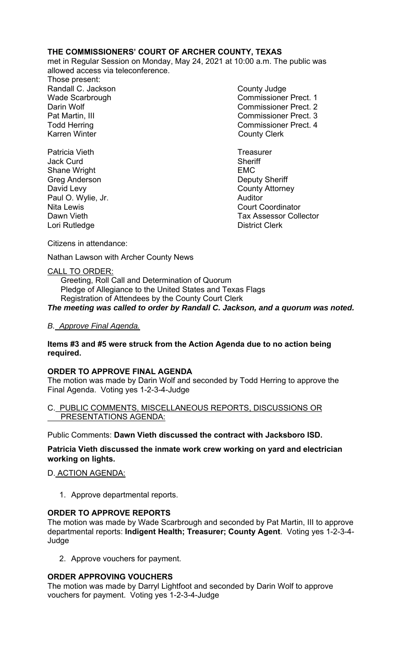## **THE COMMISSIONERS' COURT OF ARCHER COUNTY, TEXAS**

met in Regular Session on Monday, May 24, 2021 at 10:00 a.m. The public was allowed access via teleconference.

Those present: Randall C. Jackson **County Judge** County Judge Karren Winter **County Clerk** 

Patricia Vieth **Treasurer Treasurer** Jack Curd **Sheriff** Shane Wright **EMC** Greg Anderson **Deputy Sheriff** David Levy **County Attorney** Paul O. Wylie, Jr. **Auditor Paul O. Wylie, Jr. Auditor** Lori Rutledge **District Clerk** 

Wade Scarbrough Commissioner Prect. 1 Darin Wolf Commissioner Prect. 2 Pat Martin, III Commissioner Prect. 3 Todd Herring Todd Herring Commissioner Prect. 4

Nita Lewis Court Coordinator Dawn Vieth **Tax Assessor Collector** 

Citizens in attendance:

Nathan Lawson with Archer County News

## CALL TO ORDER:

 Greeting, Roll Call and Determination of Quorum Pledge of Allegiance to the United States and Texas Flags Registration of Attendees by the County Court Clerk *The meeting was called to order by Randall C. Jackson, and a quorum was noted.* 

## *B. Approve Final Agenda.*

### **Items #3 and #5 were struck from the Action Agenda due to no action being required.**

## **ORDER TO APPROVE FINAL AGENDA**

The motion was made by Darin Wolf and seconded by Todd Herring to approve the Final Agenda. Voting yes 1-2-3-4-Judge

#### C. PUBLIC COMMENTS, MISCELLANEOUS REPORTS, DISCUSSIONS OR PRESENTATIONS AGENDA:

Public Comments: **Dawn Vieth discussed the contract with Jacksboro ISD.** 

## **Patricia Vieth discussed the inmate work crew working on yard and electrician working on lights.**

## D. ACTION AGENDA:

1. Approve departmental reports.

## **ORDER TO APPROVE REPORTS**

The motion was made by Wade Scarbrough and seconded by Pat Martin, III to approve departmental reports: **Indigent Health; Treasurer; County Agent**. Voting yes 1-2-3-4- Judge

2. Approve vouchers for payment.

# **ORDER APPROVING VOUCHERS**

The motion was made by Darryl Lightfoot and seconded by Darin Wolf to approve vouchers for payment. Voting yes 1-2-3-4-Judge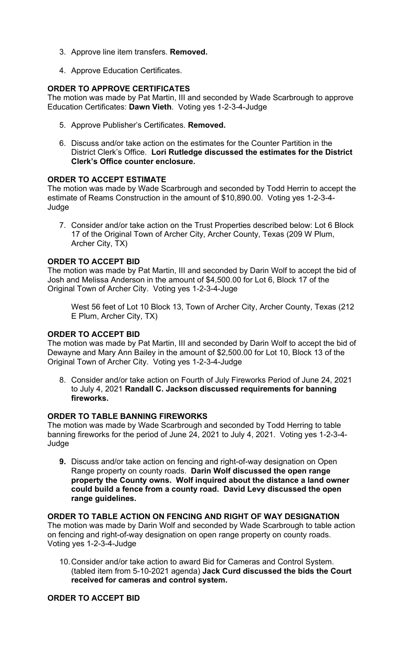- 3. Approve line item transfers. **Removed.**
- 4. Approve Education Certificates.

## **ORDER TO APPROVE CERTIFICATES**

The motion was made by Pat Martin, III and seconded by Wade Scarbrough to approve Education Certificates: **Dawn Vieth**. Voting yes 1-2-3-4-Judge

- 5. Approve Publisher's Certificates. **Removed.**
- 6. Discuss and/or take action on the estimates for the Counter Partition in the District Clerk's Office. **Lori Rutledge discussed the estimates for the District Clerk's Office counter enclosure.**

## **ORDER TO ACCEPT ESTIMATE**

The motion was made by Wade Scarbrough and seconded by Todd Herrin to accept the estimate of Reams Construction in the amount of \$10,890.00. Voting yes 1-2-3-4- Judge

7. Consider and/or take action on the Trust Properties described below: Lot 6 Block 17 of the Original Town of Archer City, Archer County, Texas (209 W Plum, Archer City, TX)

## **ORDER TO ACCEPT BID**

The motion was made by Pat Martin, III and seconded by Darin Wolf to accept the bid of Josh and Melissa Anderson in the amount of \$4,500.00 for Lot 6, Block 17 of the Original Town of Archer City. Voting yes 1-2-3-4-Juge

West 56 feet of Lot 10 Block 13, Town of Archer City, Archer County, Texas (212 E Plum, Archer City, TX)

### **ORDER TO ACCEPT BID**

The motion was made by Pat Martin, III and seconded by Darin Wolf to accept the bid of Dewayne and Mary Ann Bailey in the amount of \$2,500.00 for Lot 10, Block 13 of the Original Town of Archer City. Voting yes 1-2-3-4-Judge

8. Consider and/or take action on Fourth of July Fireworks Period of June 24, 2021 to July 4, 2021 **Randall C. Jackson discussed requirements for banning fireworks.**

### **ORDER TO TABLE BANNING FIREWORKS**

The motion was made by Wade Scarbrough and seconded by Todd Herring to table banning fireworks for the period of June 24, 2021 to July 4, 2021. Voting yes 1-2-3-4- Judge

**9.** Discuss and/or take action on fencing and right-of-way designation on Open Range property on county roads. **Darin Wolf discussed the open range property the County owns. Wolf inquired about the distance a land owner could build a fence from a county road. David Levy discussed the open range guidelines.** 

### **ORDER TO TABLE ACTION ON FENCING AND RIGHT OF WAY DESIGNATION**  The motion was made by Darin Wolf and seconded by Wade Scarbrough to table action on fencing and right-of-way designation on open range property on county roads. Voting yes 1-2-3-4-Judge

10. Consider and/or take action to award Bid for Cameras and Control System. (tabled item from 5-10-2021 agenda) **Jack Curd discussed the bids the Court received for cameras and control system.**

**ORDER TO ACCEPT BID**